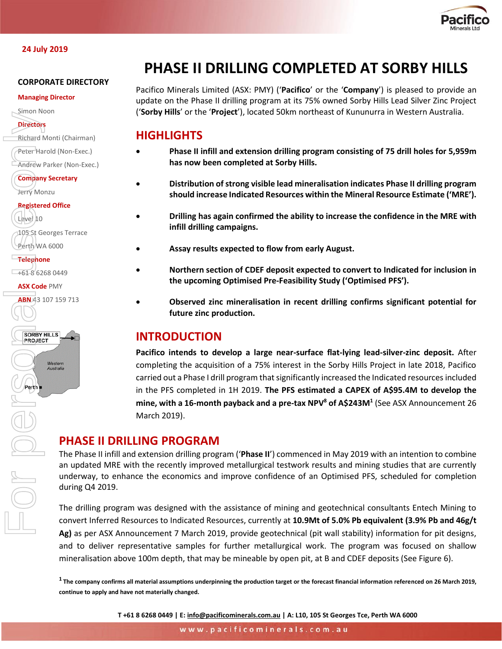

# **CORPORATE DIRECTORY**

#### **Managing Director**

Simon Noon

**Directors**

Richard Monti (Chairman)

Peter Harold (Non-Exec.)

Andrew Parker (Non-Exec.)

**Company Secretary** Jerry Monzu

# **Registered Office**

Level 10 105 St Georges Terrace Perth WA 6000

**Telephone**

 $+61862680449$ 

**ASX Code** PMY

ABN 43 107 159 713



Perth

# **PHASE II DRILLING COMPLETED AT SORBY HILLS**

Pacifico Minerals Limited (ASX: PMY) ('**Pacifico**' or the '**Company**') is pleased to provide an update on the Phase II drilling program at its 75% owned Sorby Hills Lead Silver Zinc Project ('**Sorby Hills**' or the '**Project**'), located 50km northeast of Kununurra in Western Australia.

# **HIGHLIGHTS**

- **Phase II infill and extension drilling program consisting of 75 drill holes for 5,959m has now been completed at Sorby Hills.**
- **Distribution of strong visible lead mineralisation indicates Phase II drilling program should increase Indicated Resources within the Mineral Resource Estimate ('MRE').**
- **Drilling has again confirmed the ability to increase the confidence in the MRE with infill drilling campaigns.**
	- **Assay results expected to flow from early August.**
- **Northern section of CDEF deposit expected to convert to Indicated for inclusion in the upcoming Optimised Pre-Feasibility Study ('Optimised PFS').**
- **Observed zinc mineralisation in recent drilling confirms significant potential for future zinc production.**

# **INTRODUCTION**

**Pacifico intends to develop a large near-surface flat-lying lead-silver-zinc deposit.** After completing the acquisition of a 75% interest in the Sorby Hills Project in late 2018, Pacifico carried out a Phase I drill program that significantly increased the Indicated resources included in the PFS completed in 1H 2019. **The PFS estimated a CAPEX of A\$95.4M to develop the mine, with a 16-month payback and a pre-tax NPV<sup>8</sup> of A\$243M<sup>1</sup>** (See ASX Announcement 26 March 2019).

# **PHASE II DRILLING PROGRAM**

The Phase II infill and extension drilling program ('**Phase II**') commenced in May 2019 with an intention to combine an updated MRE with the recently improved metallurgical testwork results and mining studies that are currently underway, to enhance the economics and improve confidence of an Optimised PFS, scheduled for completion during Q4 2019.

The drilling program was designed with the assistance of mining and geotechnical consultants Entech Mining to convert Inferred Resources to Indicated Resources, currently at **10.9Mt of 5.0% Pb equivalent (3.9% Pb and 46g/t Ag)** as per ASX Announcement 7 March 2019, provide geotechnical (pit wall stability) information for pit designs, and to deliver representative samples for further metallurgical work. The program was focused on shallow mineralisation above 100m depth, that may be mineable by open pit, at B and CDEF deposits (See Figure 6).

**1 The company confirms all material assumptions underpinning the production target or the forecast financial information referenced on 26 March 2019, continue to apply and have not materially changed.** 

**T +61 8 6268 0449 | E[: info@pacificominerals.com.au](mailto:info@pacificominerals.com.au) | A: L10, 105 St Georges Tce, Perth WA 6000**

www.pacificominerals.com.au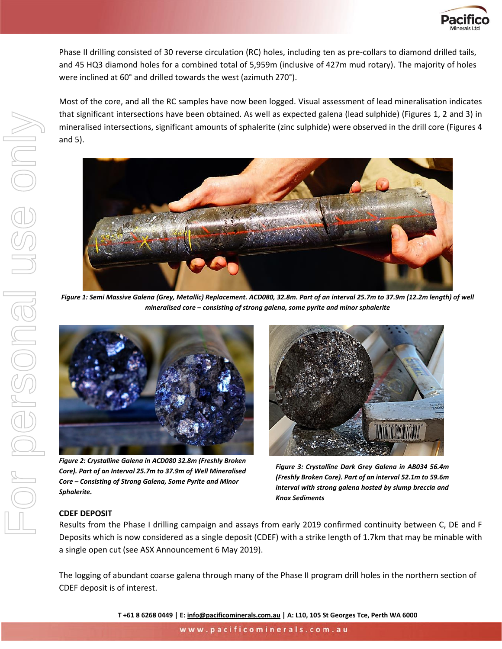

Phase II drilling consisted of 30 reverse circulation (RC) holes, including ten as pre-collars to diamond drilled tails, and 45 HQ3 diamond holes for a combined total of 5,959m (inclusive of 427m mud rotary). The majority of holes were inclined at 60° and drilled towards the west (azimuth 270°).

Most of the core, and all the RC samples have now been logged. Visual assessment of lead mineralisation indicates that significant intersections have been obtained. As well as expected galena (lead sulphide) (Figures 1, 2 and 3) in mineralised intersections, significant amounts of sphalerite (zinc sulphide) were observed in the drill core (Figures 4 and 5).



*Figure 1: Semi Massive Galena (Grey, Metallic) Replacement. ACD080, 32.8m. Part of an interval 25.7m to 37.9m (12.2m length) of well mineralised core – consisting of strong galena, some pyrite and minor sphalerite*



*Figure 2: Crystalline Galena in ACD080 32.8m (Freshly Broken Core). Part of an Interval 25.7m to 37.9m of Well Mineralised Core – Consisting of Strong Galena, Some Pyrite and Minor Sphalerite.*



*Figure 3: Crystalline Dark Grey Galena in AB034 56.4m (Freshly Broken Core). Part of an interval 52.1m to 59.6m interval with strong galena hosted by slump breccia and Knox Sediments*

# **CDEF DEPOSIT**

Results from the Phase I drilling campaign and assays from early 2019 confirmed continuity between C, DE and F Deposits which is now considered as a single deposit (CDEF) with a strike length of 1.7km that may be minable with a single open cut (see ASX Announcement 6 May 2019).

The logging of abundant coarse galena through many of the Phase II program drill holes in the northern section of CDEF deposit is of interest.

**T +61 8 6268 0449 | E[: info@pacificominerals.com.au](mailto:info@pacificominerals.com.au) | A: L10, 105 St Georges Tce, Perth WA 6000**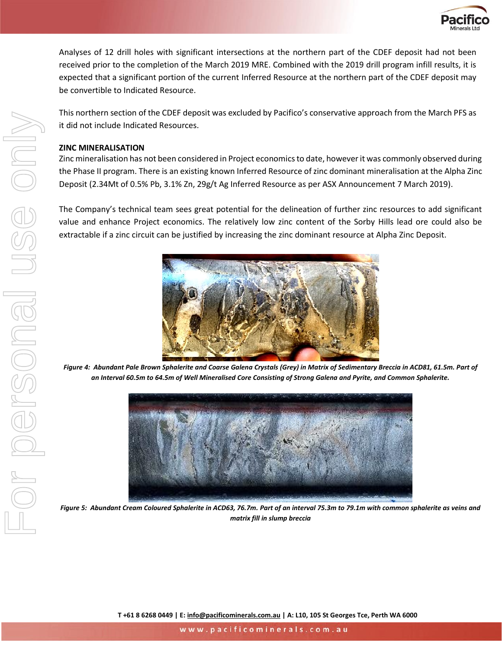

Analyses of 12 drill holes with significant intersections at the northern part of the CDEF deposit had not been received prior to the completion of the March 2019 MRE. Combined with the 2019 drill program infill results, it is expected that a significant portion of the current Inferred Resource at the northern part of the CDEF deposit may be convertible to Indicated Resource.

This northern section of the CDEF deposit was excluded by Pacifico's conservative approach from the March PFS as it did not include Indicated Resources.

## **ZINC MINERALISATION**

Zinc mineralisation has not been considered in Project economics to date, however it was commonly observed during the Phase II program. There is an existing known Inferred Resource of zinc dominant mineralisation at the Alpha Zinc Deposit (2.34Mt of 0.5% Pb, 3.1% Zn, 29g/t Ag Inferred Resource as per ASX Announcement 7 March 2019).

The Company's technical team sees great potential for the delineation of further zinc resources to add significant value and enhance Project economics. The relatively low zinc content of the Sorby Hills lead ore could also be extractable if a zinc circuit can be justified by increasing the zinc dominant resource at Alpha Zinc Deposit.



*Figure 4: Abundant Pale Brown Sphalerite and Coarse Galena Crystals (Grey) in Matrix of Sedimentary Breccia in ACD81, 61.5m. Part of an Interval 60.5m to 64.5m of Well Mineralised Core Consisting of Strong Galena and Pyrite, and Common Sphalerite.*



*Figure 5: Abundant Cream Coloured Sphalerite in ACD63, 76.7m. Part of an interval 75.3m to 79.1m with common sphalerite as veins and matrix fill in slump breccia*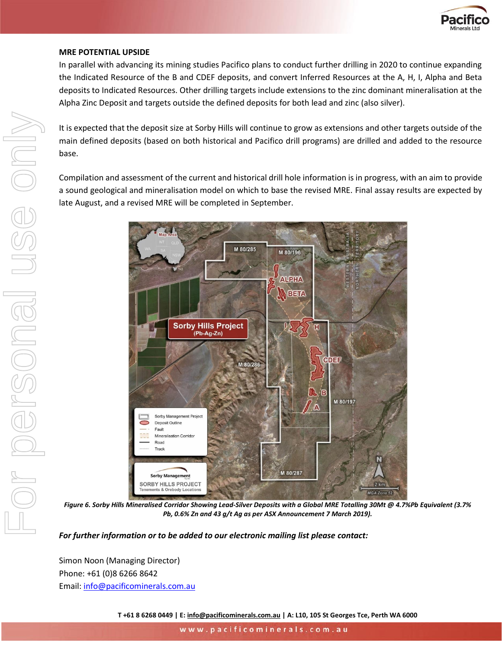

### **MRE POTENTIAL UPSIDE**

In parallel with advancing its mining studies Pacifico plans to conduct further drilling in 2020 to continue expanding the Indicated Resource of the B and CDEF deposits, and convert Inferred Resources at the A, H, I, Alpha and Beta deposits to Indicated Resources. Other drilling targets include extensions to the zinc dominant mineralisation at the Alpha Zinc Deposit and targets outside the defined deposits for both lead and zinc (also silver).

It is expected that the deposit size at Sorby Hills will continue to grow as extensions and other targets outside of the main defined deposits (based on both historical and Pacifico drill programs) are drilled and added to the resource base.

Compilation and assessment of the current and historical drill hole information is in progress, with an aim to provide a sound geological and mineralisation model on which to base the revised MRE. Final assay results are expected by late August, and a revised MRE will be completed in September.



*Figure 6. Sorby Hills Mineralised Corridor Showing Lead-Silver Deposits with a Global MRE Totalling 30Mt @ 4.7%Pb Equivalent (3.7% Pb, 0.6% Zn and 43 g/t Ag as per ASX Announcement 7 March 2019).*

*For further information or to be added to our electronic mailing list please contact:*

Simon Noon (Managing Director) Phone: +61 (0)8 6266 8642 Email: [info@pacificominerals.com.au](mailto:info@pacificominerals.com.au)

**T +61 8 6268 0449 | E[: info@pacificominerals.com.au](mailto:info@pacificominerals.com.au) | A: L10, 105 St Georges Tce, Perth WA 6000**